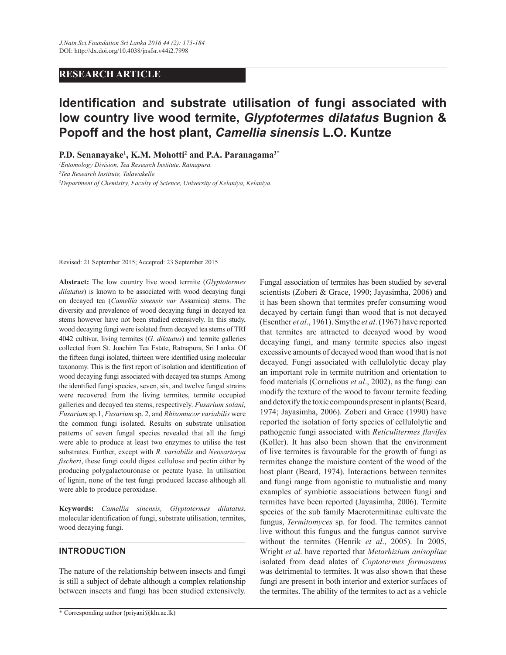# **RESEARCH ARTICLE**

# **Identification and substrate utilisation of fungi associated with low country live wood termite,** *Glyptotermes dilatatus* **Bugnion & Popoff and the host plant,** *Camellia sinensis* **L.O. Kuntze**

**P.D. Senanayake<sup>1</sup> , K.M. Mohotti<sup>2</sup> and P.A. Paranagama<sup>3</sup>**\*

*<sup>1</sup>Entomology Division, Tea Research Institute, Ratnapura. <sup>2</sup>Tea Research Institute, Talawakelle. <sup>3</sup>Department of Chemistry, Faculty of Science, University of Kelaniya, Kelaniya.*

Revised: 21 September 2015; Accepted: 23 September 2015

**Abstract:** The low country live wood termite (*Glyptotermes dilatatus*) is known to be associated with wood decaying fungi on decayed tea (*Camellia sinensis var* Assamica) stems. The diversity and prevalence of wood decaying fungi in decayed tea stems however have not been studied extensively. In this study, wood decaying fungi were isolated from decayed tea stems of TRI 4042 cultivar, living termites (*G. dilatatus*) and termite galleries collected from St. Joachim Tea Estate, Ratnapura, Sri Lanka. Of the fifteen fungi isolated, thirteen were identified using molecular taxonomy. This is the first report of isolation and identification of wood decaying fungi associated with decayed tea stumps. Among the identified fungi species, seven, six, and twelve fungal strains were recovered from the living termites, termite occupied galleries and decayed tea stems, respectively. *Fusarium solani, Fusarium* sp.1, *Fusarium* sp. 2, and *Rhizomucor variabilis* were the common fungi isolated. Results on substrate utilisation patterns of seven fungal species revealed that all the fungi were able to produce at least two enzymes to utilise the test substrates. Further, except with *R. variabilis* and *Neosartorya fischeri*, these fungi could digest cellulose and pectin either by producing polygalactouronase or pectate lyase. In utilisation of lignin, none of the test fungi produced laccase although all were able to produce peroxidase.

**Keywords:** *Camellia sinensis, Glyptotermes dilatatus*, molecular identification of fungi, substrate utilisation, termites, wood decaying fungi.

# **INTRODUCTION**

The nature of the relationship between insects and fungi is still a subject of debate although a complex relationship between insects and fungi has been studied extensively.

Fungal association of termites has been studied by several scientists (Zoberi & Grace, 1990; Jayasimha, 2006) and it has been shown that termites prefer consuming wood decayed by certain fungi than wood that is not decayed (Esenther *et al*., 1961). Smythe *et al*. (1967) have reported that termites are attracted to decayed wood by wood decaying fungi, and many termite species also ingest excessive amounts of decayed wood than wood that is not decayed. Fungi associated with cellulolytic decay play an important role in termite nutrition and orientation to food materials (Cornelious *et al*., 2002), as the fungi can modify the texture of the wood to favour termite feeding and detoxify the toxic compounds present in plants (Beard, 1974; Jayasimha, 2006). Zoberi and Grace (1990) have reported the isolation of forty species of cellulolytic and pathogenic fungi associated with *Reticulitermes flavifes*  (Koller). It has also been shown that the environment of live termites is favourable for the growth of fungi as termites change the moisture content of the wood of the host plant (Beard, 1974). Interactions between termites and fungi range from agonistic to mutualistic and many examples of symbiotic associations between fungi and termites have been reported (Jayasimha, 2006). Termite species of the sub family Macrotermitinae cultivate the fungus, *Termitomyces* sp. for food. The termites cannot live without this fungus and the fungus cannot survive without the termites (Henrik *et al*., 2005). In 2005, Wright *et al*. have reported that *Metarhizium anisopliae* isolated from dead alates of *Coptotermes formosanus*  was detrimental to termites*.* It was also shown that these fungi are present in both interior and exterior surfaces of the termites. The ability of the termites to act as a vehicle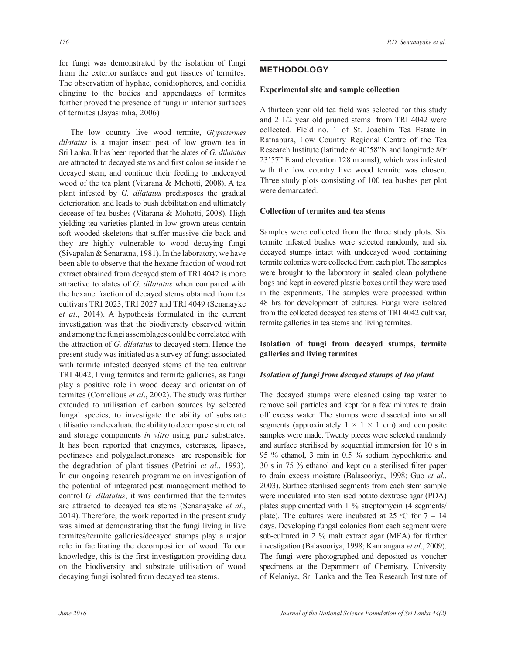for fungi was demonstrated by the isolation of fungi from the exterior surfaces and gut tissues of termites. The observation of hyphae, conidiophores, and conidia clinging to the bodies and appendages of termites further proved the presence of fungi in interior surfaces of termites (Jayasimha, 2006)

 The low country live wood termite, *Glyptotermes dilatatus* is a major insect pest of low grown tea in Sri Lanka. It has been reported that the alates of *G. dilatatus* are attracted to decayed stems and first colonise inside the decayed stem, and continue their feeding to undecayed wood of the tea plant (Vitarana & Mohotti, 2008). A tea plant infested by *G. dilatatus* predisposes the gradual deterioration and leads to bush debilitation and ultimately decease of tea bushes (Vitarana & Mohotti, 2008). High yielding tea varieties planted in low grown areas contain soft wooded skeletons that suffer massive die back and they are highly vulnerable to wood decaying fungi (Sivapalan & Senaratna, 1981). In the laboratory, we have been able to observe that the hexane fraction of wood rot extract obtained from decayed stem of TRI 4042 is more attractive to alates of *G. dilatatus* when compared with the hexane fraction of decayed stems obtained from tea cultivars TRI 2023, TRI 2027 and TRI 4049 (Senanayke *et al*., 2014). A hypothesis formulated in the current investigation was that the biodiversity observed within and among the fungi assemblages could be correlated with the attraction of *G. dilatatus* to decayed stem. Hence the present study was initiated as a survey of fungi associated with termite infested decayed stems of the tea cultivar TRI 4042, living termites and termite galleries, as fungi play a positive role in wood decay and orientation of termites (Cornelious *et al*., 2002). The study was further extended to utilisation of carbon sources by selected fungal species, to investigate the ability of substrate utilisation and evaluate the ability to decompose structural and storage components *in vitro* using pure substrates. It has been reported that enzymes, esterases, lipases, pectinases and polygalacturonases are responsible for the degradation of plant tissues (Petrini *et al.*, 1993). In our ongoing research programme on investigation of the potential of integrated pest management method to control *G. dilatatus*, it was confirmed that the termites are attracted to decayed tea stems (Senanayake *et al*., 2014). Therefore, the work reported in the present study was aimed at demonstrating that the fungi living in live termites/termite galleries/decayed stumps play a major role in facilitating the decomposition of wood. To our knowledge, this is the first investigation providing data on the biodiversity and substrate utilisation of wood decaying fungi isolated from decayed tea stems.

## **METHODOLOGY**

#### **Experimental site and sample collection**

A thirteen year old tea field was selected for this study and 2 1/2 year old pruned stems from TRI 4042 were collected. Field no. 1 of St. Joachim Tea Estate in Ratnapura, Low Country Regional Centre of the Tea Research Institute (latitude 6° 40'58"N and longitude 80° 23'57" E and elevation 128 m amsl), which was infested with the low country live wood termite was chosen. Three study plots consisting of 100 tea bushes per plot were demarcated.

#### **Collection of termites and tea stems**

Samples were collected from the three study plots. Six termite infested bushes were selected randomly, and six decayed stumps intact with undecayed wood containing termite colonies were collected from each plot. The samples were brought to the laboratory in sealed clean polythene bags and kept in covered plastic boxes until they were used in the experiments. The samples were processed within 48 hrs for development of cultures. Fungi were isolated from the collected decayed tea stems of TRI 4042 cultivar, termite galleries in tea stems and living termites.

## **Isolation of fungi from decayed stumps, termite galleries and living termites**

#### *Isolation of fungi from decayed stumps of tea plant*

The decayed stumps were cleaned using tap water to remove soil particles and kept for a few minutes to drain off excess water. The stumps were dissected into small segments (approximately  $1 \times 1 \times 1$  cm) and composite samples were made. Twenty pieces were selected randomly and surface sterilised by sequential immersion for 10 s in 95 % ethanol, 3 min in 0.5 % sodium hypochlorite and 30 s in 75 % ethanol and kept on a sterilised filter paper to drain excess moisture (Balasooriya, 1998; Guo *et al.*, 2003). Surface sterilised segments from each stem sample were inoculated into sterilised potato dextrose agar (PDA) plates supplemented with 1 % streptomycin (4 segments/ plate). The cultures were incubated at 25  $\degree$ C for 7 – 14 days. Developing fungal colonies from each segment were sub-cultured in 2 % malt extract agar (MEA) for further investigation (Balasooriya, 1998; Kannangara *et al*., 2009). The fungi were photographed and deposited as voucher specimens at the Department of Chemistry, University of Kelaniya, Sri Lanka and the Tea Research Institute of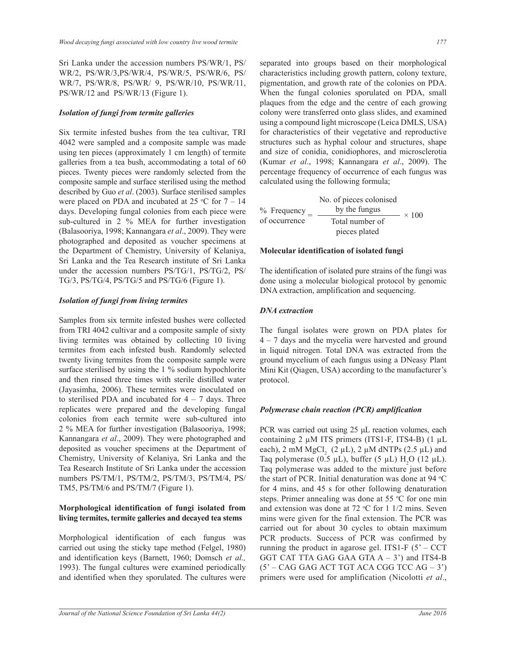Sri Lanka under the accession numbers PS/WR/1, PS/ WR/2, PS/WR/3,PS/WR/4, PS/WR/5, PS/WR/6, PS/ WR/7, PS/WR/8, PS/WR/ 9, PS/WR/10, PS/WR/11, PS/WR/12 and PS/WR/13 (Figure 1).

#### *Isolation of fungi from termite galleries*

Six termite infested bushes from the tea cultivar, TRI 4042 were sampled and a composite sample was made using ten pieces (approximately 1 cm length) of termite galleries from a tea bush, accommodating a total of 60 pieces. Twenty pieces were randomly selected from the composite sample and surface sterilised using the method described by Guo *et al*. (2003). Surface sterilised samples were placed on PDA and incubated at 25  $°C$  for  $7 - 14$ days. Developing fungal colonies from each piece were sub-cultured in 2 % MEA for further investigation (Balasooriya, 1998; Kannangara *et al*., 2009). They were photographed and deposited as voucher specimens at the Department of Chemistry, University of Kelaniya, Sri Lanka and the Tea Research institute of Sri Lanka under the accession numbers PS/TG/1, PS/TG/2, PS/ TG/3, PS/TG/4, PS/TG/5 and PS/TG/6 (Figure 1).

#### *Isolation of fungi from living termites*

Samples from six termite infested bushes were collected from TRI 4042 cultivar and a composite sample of sixty living termites was obtained by collecting 10 living termites from each infested bush. Randomly selected twenty living termites from the composite sample were surface sterilised by using the 1 % sodium hypochlorite and then rinsed three times with sterile distilled water (Jayasimha, 2006). These termites were inoculated on to sterilised PDA and incubated for  $4 - 7$  days. Three replicates were prepared and the developing fungal colonies from each termite were sub-cultured into 2 % MEA for further investigation (Balasooriya, 1998; Kannangara *et al*., 2009). They were photographed and deposited as voucher specimens at the Department of Chemistry, University of Kelaniya, Sri Lanka and the Tea Research Institute of Sri Lanka under the accession numbers PS/TM/1, PS/TM/2, PS/TM/3, PS/TM/4, PS/ TM5, PS/TM/6 and PS/TM/7 (Figure 1).

## **Morphological identification of fungi isolated from living termites, termite galleries and decayed tea stems**

Morphological identification of each fungus was carried out using the sticky tape method (Felgel, 1980) and identification keys (Barnett, 1960; Domsch *et al.,* 1993). The fungal cultures were examined periodically and identified when they sporulated. The cultures were separated into groups based on their morphological characteristics including growth pattern, colony texture, pigmentation, and growth rate of the colonies on PDA. When the fungal colonies sporulated on PDA, small plaques from the edge and the centre of each growing colony were transferred onto glass slides, and examined using a compound light microscope (Leica DMLS, USA) for characteristics of their vegetative and reproductive structures such as hyphal colour and structures, shape and size of conidia, conidiophores, and microsclerotia (Kumar *et al*., 1998; Kannangara *et al*., 2009). The percentage frequency of occurrence of each fungus was calculated using the following formula;

% Frequency  $=$ of occurrence No. of pieces colonised by the fungus Total number of pieces plated  $- \times 100$ 

#### **Molecular identification of isolated fungi**

The identification of isolated pure strains of the fungi was done using a molecular biological protocol by genomic DNA extraction, amplification and sequencing.

## *DNA extraction*

The fungal isolates were grown on PDA plates for 4 – 7 days and the mycelia were harvested and ground in liquid nitrogen. Total DNA was extracted from the ground mycelium of each fungus using a DNeasy Plant Mini Kit (Qiagen, USA) according to the manufacturer's protocol.

#### *Polymerase chain reaction (PCR) amplification*

PCR was carried out using 25 μL reaction volumes, each containing  $2 \mu M$  ITS primers (ITS1-F, ITS4-B) (1  $\mu L$ each), 2 mM  $MgCl<sub>2</sub>$  (2  $\mu$ L), 2  $\mu$ M dNTPs (2.5  $\mu$ L) and Taq polymerase (0.5  $\mu$ L), buffer (5  $\mu$ L) H<sub>2</sub>O (12  $\mu$ L). Taq polymerase was added to the mixture just before the start of PCR. Initial denaturation was done at 94 °C for 4 mins, and 45 s for other following denaturation steps. Primer annealing was done at 55  $\degree$ C for one min and extension was done at  $72 °C$  for  $1 \frac{1}{2}$  mins. Seven mins were given for the final extension. The PCR was carried out for about 30 cycles to obtain maximum PCR products. Success of PCR was confirmed by running the product in agarose gel. ITS1-F  $(5 - CCT)$ GGT CAT TTA GAG GAA GTA  $A - 3'$  and ITS4-B  $(5' - CAG GAG ACT TGT ACA CGG TCC AG - 3')$ primers were used for amplification (Nicolotti *et al*.,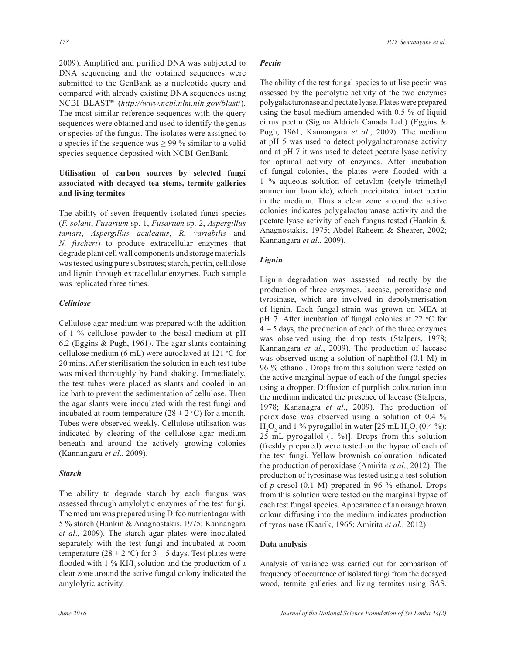2009). Amplified and purified DNA was subjected to DNA sequencing and the obtained sequences were submitted to the GenBank as a nucleotide query and compared with already existing DNA sequences using NCBI BLAST® (*http://www.ncbi.nlm.nih.gov/blast*/). The most similar reference sequences with the query sequences were obtained and used to identify the genus or species of the fungus. The isolates were assigned to a species if the sequence was  $\geq$  99 % similar to a valid species sequence deposited with NCBI GenBank.

# **Utilisation of carbon sources by selected fungi associated with decayed tea stems, termite galleries and living termites**

The ability of seven frequently isolated fungi species (*F. solani*, *Fusarium* sp. 1, *Fusarium* sp. 2, *Aspergillus tamari*, *Aspergillus aculeatus*, *R. variabilis* and *N. fischeri*) to produce extracellular enzymes that degrade plant cell wall components and storage materials was tested using pure substrates; starch, pectin, cellulose and lignin through extracellular enzymes. Each sample was replicated three times.

## *Cellulose*

Cellulose agar medium was prepared with the addition of 1 % cellulose powder to the basal medium at pH 6.2 (Eggins & Pugh, 1961). The agar slants containing cellulose medium (6 mL) were autoclaved at 121  $\degree$ C for 20 mins. After sterilisation the solution in each test tube was mixed thoroughly by hand shaking. Immediately, the test tubes were placed as slants and cooled in an ice bath to prevent the sedimentation of cellulose. Then the agar slants were inoculated with the test fungi and incubated at room temperature ( $28 \pm 2$  °C) for a month. Tubes were observed weekly. Cellulose utilisation was indicated by clearing of the cellulose agar medium beneath and around the actively growing colonies (Kannangara *et al*., 2009).

## *Starch*

The ability to degrade starch by each fungus was assessed through amylolytic enzymes of the test fungi. The medium was prepared using Difco nutrient agar with 5 % starch (Hankin & Anagnostakis, 1975; Kannangara *et al*., 2009). The starch agar plates were inoculated separately with the test fungi and incubated at room temperature (28  $\pm$  2 °C) for 3 – 5 days. Test plates were flooded with  $1\%$  KI/I<sub>2</sub> solution and the production of a clear zone around the active fungal colony indicated the amylolytic activity.

# *Pectin*

The ability of the test fungal species to utilise pectin was assessed by the pectolytic activity of the two enzymes polygalacturonase and pectate lyase. Plates were prepared using the basal medium amended with 0.5 % of liquid citrus pectin (Sigma Aldrich Canada Ltd.) (Eggins & Pugh, 1961; Kannangara *et al*., 2009). The medium at pH 5 was used to detect polygalacturonase activity and at pH 7 it was used to detect pectate lyase activity for optimal activity of enzymes. After incubation of fungal colonies, the plates were flooded with a 1 % aqueous solution of cetavlon (cetyle trimethyl ammonium bromide), which precipitated intact pectin in the medium. Thus a clear zone around the active colonies indicates polygalactouranase activity and the pectate lyase activity of each fungus tested (Hankin & Anagnostakis, 1975; Abdel-Raheem & Shearer, 2002; Kannangara *et al*., 2009).

# *Lignin*

Lignin degradation was assessed indirectly by the production of three enzymes, laccase, peroxidase and tyrosinase, which are involved in depolymerisation of lignin. Each fungal strain was grown on MEA at pH 7. After incubation of fungal colonies at 22  $^{\circ}$ C for 4 – 5 days, the production of each of the three enzymes was observed using the drop tests (Stalpers, 1978; Kannangara *et al*., 2009). The production of laccase was observed using a solution of naphthol (0.1 M) in 96 % ethanol. Drops from this solution were tested on the active marginal hypae of each of the fungal species using a dropper. Diffusion of purplish colouration into the medium indicated the presence of laccase (Stalpers, 1978; Kananagra *et al.*, 2009). The production of peroxidase was observed using a solution of 0.4 %  $H_2O_2$  and 1 % pyrogallol in water [25 mL  $H_2O_2(0.4\%)$ : 25 mL pyrogallol (1 %)]. Drops from this solution (freshly prepared) were tested on the hypae of each of the test fungi. Yellow brownish colouration indicated the production of peroxidase (Amirita *et al*., 2012). The production of tyrosinase was tested using a test solution of *p*-cresol (0.1 M) prepared in 96 % ethanol. Drops from this solution were tested on the marginal hypae of each test fungal species. Appearance of an orange brown colour diffusing into the medium indicates production of tyrosinase (Kaarik, 1965; Amirita *et al*., 2012).

# **Data analysis**

Analysis of variance was carried out for comparison of frequency of occurrence of isolated fungi from the decayed wood, termite galleries and living termites using SAS.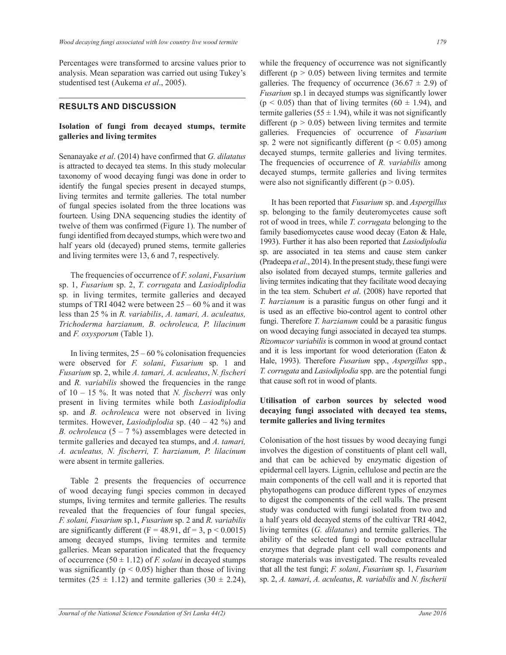Percentages were transformed to arcsine values prior to analysis. Mean separation was carried out using Tukey's studentised test (Aukema *et al*., 2005).

#### **RESULTS AND DISCUSSION**

## **Isolation of fungi from decayed stumps, termite galleries and living termites**

Senanayake *et al*. (2014) have confirmed that *G. dilatatus*  is attracted to decayed tea stems. In this study molecular taxonomy of wood decaying fungi was done in order to identify the fungal species present in decayed stumps, living termites and termite galleries. The total number of fungal species isolated from the three locations was fourteen. Using DNA sequencing studies the identity of twelve of them was confirmed (Figure 1). The number of fungi identified from decayed stumps, which were two and half years old (decayed) pruned stems, termite galleries and living termites were 13, 6 and 7, respectively.

 The frequencies of occurrence of *F. solani*, *Fusarium* sp. 1, *Fusarium* sp. 2, *T. corrugata* and *Lasiodiplodia*  sp*.* in living termites, termite galleries and decayed stumps of TRI 4042 were between  $25 - 60$  % and it was less than 25 % in *R. variabilis*, *A. tamari, A. aculeatus, Trichoderma harzianum, B. ochroleuca, P. lilacinum*  and *F. oxysporum* (Table 1).

In living termites,  $25 - 60\%$  colonisation frequencies were observed for *F. solani*, *Fusarium* sp. 1 and *Fusarium* sp. 2, while *A. tamari, A. aculeatus*, *N. fischeri* and *R. variabilis* showed the frequencies in the range of 10 – 15 %. It was noted that *N. fischerri* was only present in living termites while both *Lasiodiplodia*  sp. and *B. ochroleuca* were not observed in living termites. However, *Lasiodiplodia* sp. (40 – 42 %) and *B. ochroleuca*  $(5 - 7\%)$  assemblages were detected in termite galleries and decayed tea stumps, and *A. tamari, A. aculeatus, N. fischerri, T. harzianum, P. lilacinum*  were absent in termite galleries.

 Table 2 presents the frequencies of occurrence of wood decaying fungi species common in decayed stumps, living termites and termite galleries. The results revealed that the frequencies of four fungal species, *F. solani, Fusarium* sp.1, *Fusarium* sp. 2 and *R. variabilis*  are significantly different (F = 48.91, df = 3, p < 0.0015) among decayed stumps, living termites and termite galleries. Mean separation indicated that the frequency of occurrence  $(50 \pm 1.12)$  of *F. solani* in decayed stumps was significantly ( $p < 0.05$ ) higher than those of living termites  $(25 \pm 1.12)$  and termite galleries  $(30 \pm 2.24)$ , while the frequency of occurrence was not significantly different ( $p > 0.05$ ) between living termites and termite galleries. The frequency of occurrence  $(36.67 \pm 2.9)$  of *Fusarium* sp.1 in decayed stumps was significantly lower  $(p < 0.05)$  than that of living termites  $(60 \pm 1.94)$ , and termite galleries ( $55 \pm 1.94$ ), while it was not significantly different ( $p > 0.05$ ) between living termites and termite galleries. Frequencies of occurrence of *Fusarium*  sp. 2 were not significantly different ( $p < 0.05$ ) among decayed stumps, termite galleries and living termites. The frequencies of occurrence of *R. variabilis* among decayed stumps, termite galleries and living termites were also not significantly different ( $p > 0.05$ ).

 It has been reported that *Fusarium* sp. and *Aspergillus* sp. belonging to the family deuteromycetes cause soft rot of wood in trees, while *T. corrugata* belonging to the family basediomycetes cause wood decay (Eaton & Hale, 1993). Further it has also been reported that *Lasiodiplodia* sp. are associated in tea stems and cause stem canker (Pradeepa *et al*., 2014). In the present study, these fungi were also isolated from decayed stumps, termite galleries and living termites indicating that they facilitate wood decaying in the tea stem. Schubert *et al*. (2008) have reported that *T. harzianum* is a parasitic fungus on other fungi and it is used as an effective bio-control agent to control other fungi. Therefore *T. harzianum* could be a parasitic fungus on wood decaying fungi associated in decayed tea stumps. *Rizomucor variabilis* is common in wood at ground contact and it is less important for wood deterioration (Eaton & Hale, 1993). Therefore *Fusarium* spp., *Aspergillus* spp., *T. corrugata* and *Lasiodiplodia* spp. are the potential fungi that cause soft rot in wood of plants.

## **Utilisation of carbon sources by selected wood decaying fungi associated with decayed tea stems, termite galleries and living termites**

Colonisation of the host tissues by wood decaying fungi involves the digestion of constituents of plant cell wall, and that can be achieved by enzymatic digestion of epidermal cell layers. Lignin, cellulose and pectin are the main components of the cell wall and it is reported that phytopathogens can produce different types of enzymes to digest the components of the cell walls. The present study was conducted with fungi isolated from two and a half years old decayed stems of the cultivar TRI 4042, living termites (*G. dilatatus*) and termite galleries. The ability of the selected fungi to produce extracellular enzymes that degrade plant cell wall components and storage materials was investigated. The results revealed that all the test fungi; *F. solani*, *Fusarium* sp. 1, *Fusarium* sp. 2, *A. tamari*, *A. aculeatus*, *R. variabilis* and *N. fischerii*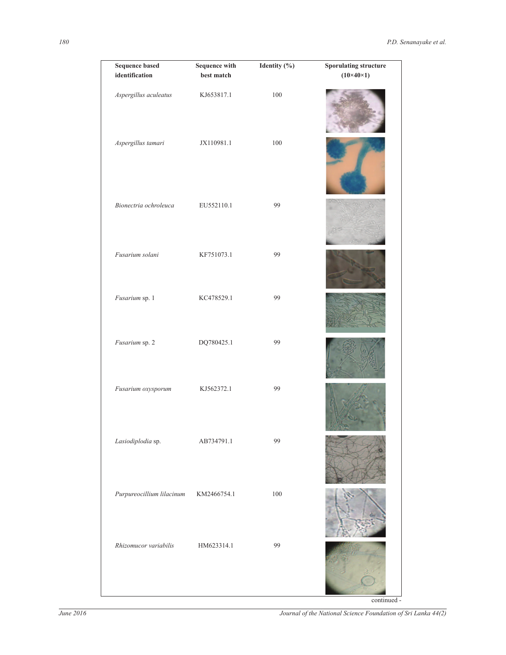| <b>Sequence based</b><br>identification | <b>Sequence with</b><br>best match | Identity (%) | <b>Sporulating structure</b><br>$(10\times40\times1)$ |
|-----------------------------------------|------------------------------------|--------------|-------------------------------------------------------|
| Aspergillus aculeatus                   | KJ653817.1                         | $100\,$      |                                                       |
| Aspergillus tamari                      | JX110981.1                         | 100          |                                                       |
| Bionectria ochroleuca                   | EU552110.1                         | 99           |                                                       |
| Fusarium solani                         | KF751073.1                         | 99           |                                                       |
| Fusarium sp. 1                          | KC478529.1                         | 99           |                                                       |
| Fusarium sp. 2                          | DQ780425.1                         | 99           |                                                       |
| Fusarium oxysporum                      | KJ562372.1                         | 99           |                                                       |
| Lasiodiplodia sp.                       | AB734791.1                         | 99           |                                                       |
| Purpureocillium lilacinum               | KM2466754.1                        | $100\,$      |                                                       |
| Rhizomucor variabilis                   | HM623314.1                         | 99           |                                                       |
|                                         |                                    |              | continued -                                           |

*June 2016 Journal of the National Science Foundation of Sri Lanka 44(2)*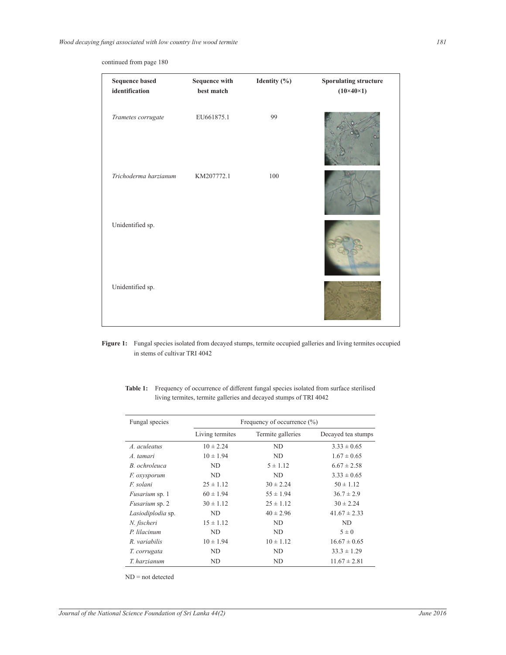continued from page 180

| <b>Sequence based</b><br>identification | <b>Sequence with</b><br>best match | Identity (%) | <b>Sporulating structure</b><br>$(10\times40\times1)$ |
|-----------------------------------------|------------------------------------|--------------|-------------------------------------------------------|
| Trametes corrugate                      | EU661875.1                         | 99           |                                                       |
| Trichoderma harzianum                   | KM207772.1                         | 100          |                                                       |
| Unidentified sp.                        |                                    |              |                                                       |
| Unidentified sp.                        |                                    |              |                                                       |

**Figure 1:** Fungal species isolated from decayed stumps, termite occupied galleries and living termites occupied in stems of cultivar TRI 4042

| Fungal species        |                 | Frequency of occurrence $(\% )$ |                    |
|-----------------------|-----------------|---------------------------------|--------------------|
|                       | Living termites | Termite galleries               | Decayed tea stumps |
| A. aculeatus          | $10 \pm 2.24$   | ND                              | $3.33 \pm 0.65$    |
| A. tamari             | $10 \pm 1.94$   | ND                              | $1.67 \pm 0.65$    |
| B. ochroleuca         | ND              | $5 \pm 1.12$                    | $6.67 \pm 2.58$    |
| <i>F.</i> oxysporum   | ND              | ND                              | $3.33 \pm 0.65$    |
| F. solani             | $25 \pm 1.12$   | $30 \pm 2.24$                   | $50 \pm 1.12$      |
| <i>Fusarium</i> sp. 1 | $60 \pm 1.94$   | $55 \pm 1.94$                   | $36.7 \pm 2.9$     |
| Fusarium sp. 2        | $30 \pm 1.12$   | $25 \pm 1.12$                   | $30 \pm 2.24$      |
| Lasiodiplodia sp.     | ND              | $40 \pm 2.96$                   | $41.67 \pm 2.33$   |
| N. fischeri           | $15 \pm 1.12$   | ND                              | ND                 |
| P. lilacinum          | ND.             | ND.                             | $5 \pm 0$          |
| R. variabilis         | $10 \pm 1.94$   | $10 \pm 1.12$                   | $16.67 \pm 0.65$   |
| T. corrugata          | ND              | ND                              | $33.3 \pm 1.29$    |
| T. harzianum          | ND              | ND                              | $11.67 \pm 2.81$   |

**Table 1:** Frequency of occurrence of different fungal species isolated from surface sterilised living termites, termite galleries and decayed stumps of TRI 4042

ND = not detected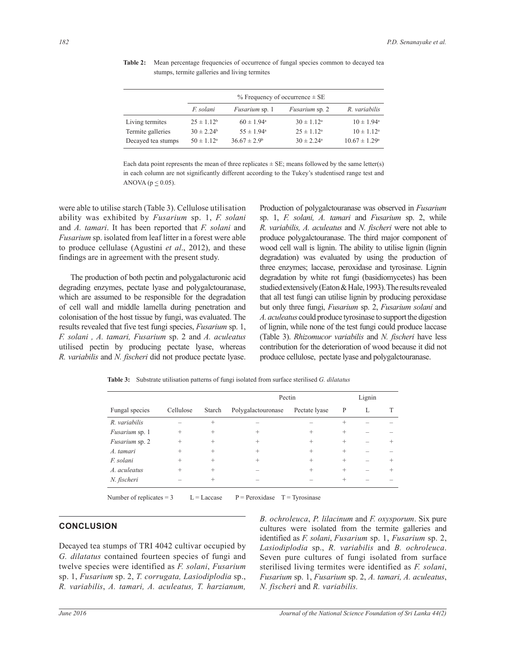|                    | $%$ Frequency of occurrence $\pm$ SE |                       |                       |                          |
|--------------------|--------------------------------------|-----------------------|-----------------------|--------------------------|
|                    | F. solani                            | <i>Fusarium</i> sp. 1 | <i>Fusarium</i> sp. 2 | R. variabilis            |
| Living termites    | $25 \pm 1.12^b$                      | $60 \pm 1.94^{\circ}$ | $30 \pm 1.12^{\circ}$ | $10 \pm 1.94^{\circ}$    |
| Termite galleries  | $30 \pm 2.24^b$                      | $55 \pm 1.94^{\circ}$ | $25 \pm 1.12^a$       | $10 \pm 1.12^a$          |
| Decayed tea stumps | $50 \pm 1.12^a$                      | $36.67 \pm 2.9^b$     | $30 \pm 2.24^{\circ}$ | $10.67 \pm 1.29^{\circ}$ |

Table 2: Mean percentage frequencies of occurrence of fungal species common to decayed tea stumps, termite galleries and living termites

Each data point represents the mean of three replicates  $\pm$  SE; means followed by the same letter(s) in each column are not significantly different according to the Tukey's studentised range test and ANOVA ( $p \leq 0.05$ ).

were able to utilise starch (Table 3). Cellulose utilisation ability was exhibited by *Fusarium* sp. 1, *F. solani* and *A. tamari*. It has been reported that *F. solani* and *Fusarium* sp. isolated from leaf litter in a forest were able to produce cellulase (Agustini *et al*., 2012), and these findings are in agreement with the present study.

 The production of both pectin and polygalacturonic acid degrading enzymes, pectate lyase and polygalctouranase, which are assumed to be responsible for the degradation of cell wall and middle lamella during penetration and colonisation of the host tissue by fungi, was evaluated. The results revealed that five test fungi species, *Fusarium* sp. 1, *F. solani , A. tamari, Fusarium* sp. 2 and *A. aculeatus*  utilised pectin by producing pectate lyase, whereas *R. variabilis* and *N. fischeri* did not produce pectate lyase. Production of polygalctouranase was observed in *Fusarium*  sp. 1, *F. solani, A. tamari* and *Fusarium* sp. 2, while *R. variabilis, A. aculeatus* and *N. fischeri* were not able to produce polygalctouranase. The third major component of wood cell wall is lignin. The ability to utilise lignin (lignin degradation) was evaluated by using the production of three enzymes; laccase, peroxidase and tyrosinase. Lignin degradation by white rot fungi (basidiomycetes) has been studied extensively (Eaton & Hale, 1993). The results revealed that all test fungi can utilise lignin by producing peroxidase but only three fungi, *Fusarium* sp. 2, *Fusarium solani* and *A. aculeatus* could produce tyrosinase to support the digestion of lignin, while none of the test fungi could produce laccase (Table 3). *Rhizomucor variabilis* and *N. fischeri* have less contribution for the deterioration of wood because it did not produce cellulose, pectate lyase and polygalctouranase.

**Table 3:** Substrate utilisation patterns of fungi isolated from surface sterilised *G. dilatatus*

|                       |           |        | Pectin             |               | Lignin |   |        |
|-----------------------|-----------|--------|--------------------|---------------|--------|---|--------|
| Fungal species        | Cellulose | Starch | Polygalactouronase | Pectate lyase | P      | L |        |
| R. variabilis         |           | $^{+}$ |                    |               | $^{+}$ |   |        |
| <i>Fusarium</i> sp. 1 | $^{+}$    | $^{+}$ | $^{+}$             | $^{+}$        | $^{+}$ |   |        |
| Fusarium sp. 2        | $^{+}$    | $^{+}$ | $^{+}$             | $^{+}$        | $^{+}$ |   | $^{+}$ |
| A. tamari             | $^{+}$    | $^{+}$ | $^{+}$             | $^{+}$        | $^{+}$ |   |        |
| F. solani             | $^{+}$    | $^{+}$ | $^{+}$             | $^{+}$        | $^{+}$ |   | $^{+}$ |
| A. aculeatus          | $^{+}$    | $^{+}$ |                    | $^{+}$        | $^{+}$ |   | $^{+}$ |
| N. fischeri           |           | $\div$ |                    |               | $^{+}$ |   |        |
|                       |           |        |                    |               |        |   |        |

Number of replicates = 3  $L = Laccase$   $P = Peroxidase$   $T = Tyrosinase$ 

#### **CONCLUSION**

Decayed tea stumps of TRI 4042 cultivar occupied by *G. dilatatus* contained fourteen species of fungi and twelve species were identified as *F. solani*, *Fusarium* sp. 1, *Fusarium* sp. 2, *T. corrugata, Lasiodiplodia* sp., *R. variabilis*, *A. tamari, A. aculeatus, T. harzianum,*  *B. ochroleuca*, *P. lilacinum* and *F. oxysporum*. Six pure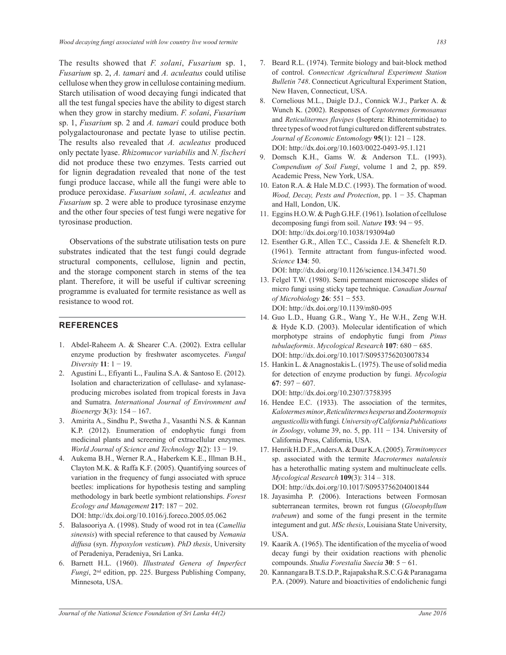The results showed that *F. solani*, *Fusarium* sp. 1, *Fusarium* sp. 2, *A. tamari* and *A. aculeatus* could utilise cellulose when they grow in cellulose containing medium. Starch utilisation of wood decaying fungi indicated that all the test fungal species have the ability to digest starch when they grow in starchy medium. *F. solani*, *Fusarium*  sp. 1, *Fusarium* sp. 2 and *A. tamari* could produce both polygalactouronase and pectate lyase to utilise pectin. The results also revealed that *A. aculeatus* produced only pectate lyase. *Rhizomucor variabilis* and *N. fischeri*  did not produce these two enzymes. Tests carried out for lignin degradation revealed that none of the test fungi produce laccase, while all the fungi were able to produce peroxidase. *Fusarium solani*, *A. aculeatus* and *Fusarium* sp. 2 were able to produce tyrosinase enzyme and the other four species of test fungi were negative for tyrosinase production.

 Observations of the substrate utilisation tests on pure substrates indicated that the test fungi could degrade structural components, cellulose, lignin and pectin, and the storage component starch in stems of the tea plant. Therefore, it will be useful if cultivar screening programme is evaluated for termite resistance as well as resistance to wood rot.

#### **REFERENCES**

- 1. Abdel-Raheem A. & Shearer C.A. (2002). Extra cellular enzyme production by freshwater ascomycetes. *Fungal Diversity* **11**: 1 − 19.
- 2. Agustini L., Efiyanti L., Faulina S.A. & Santoso E. (2012). Isolation and characterization of cellulase- and xylanaseproducing microbes isolated from tropical forests in Java and Sumatra. *International Journal of Environment and Bioenergy* **3**(3): 154 – 167.
- 3. Amirita A., Sindhu P., Swetha J., Vasanthi N.S. & Kannan K.P. (2012). Enumeration of endophytic fungi from medicinal plants and screening of extracellular enzymes. *World Journal of Science and Technology* **2**(2): 13 − 19.
- 4. Aukema B.H., Werner R.A., Haberkem K.E., Illman B.H., Clayton M.K. & Raffa K.F. (2005). Quantifying sources of variation in the frequency of fungi associated with spruce beetles: implications for hypothesis testing and sampling methodology in bark beetle symbiont relationships. *Forest Ecology and Management* **217**: 187 − 202. DOI: http://dx.doi.org/10.1016/j.foreco.2005.05.062
- 5. Balasooriya A. (1998). Study of wood rot in tea (*Camellia sinensis*) with special reference to that caused by *Nemania diffusa* (syn. *Hypoxylon vesticum*). *PhD thesis*, University of Peradeniya, Peradeniya, Sri Lanka.
- 6. Barnett H.L. (1960). *Illustrated Genera of Imperfect Fungi*, 2nd edition, pp. 225. Burgess Publishing Company, Minnesota, USA.
- 7. Beard R.L. (1974). Termite biology and bait-block method of control. *Connecticut Agricultural Experiment Station Bulletin 748*. Connecticut Agricultural Experiment Station, New Haven, Connecticut, USA.
- 8. Cornelious M.L., Daigle D.J., Connick W.J., Parker A. & Wunch K. (2002). Responses of *Coptotermes formosanus* and *Reticulitermes flavipes* (Isoptera: Rhinotermitidae) to three types of wood rot fungi cultured on different substrates. *Journal of Economic Entomology* **95**(1): 121 – 128. DOI: http://dx.doi.org/10.1603/0022-0493-95.1.121
- 9. Domsch K.H., Gams W. & Anderson T.L. (1993). *Compendium of Soil Fungi*, volume 1 and 2, pp. 859. Academic Press, New York, USA.
- 10. Eaton R.A. & Hale M.D.C. (1993). The formation of wood. *Wood, Decay, Pests and Protection*, pp. 1 − 35. Chapman and Hall, London, UK.
- 11. Eggins H.O.W. & Pugh G.H.F. (1961). Isolation of cellulose decomposing fungi from soil. *Nature* **193**: 94 − 95. DOI: http://dx.doi.org/10.1038/193094a0
- 12. Esenther G.R., Allen T.C., Cassida J.E. & Shenefelt R.D. (1961). Termite attractant from fungus-infected wood. *Science* **134**: 50. DOI: http://dx.doi.org/10.1126/science.134.3471.50
- 13. Felgel T.W. (1980). Semi permanent microscope slides of micro fungi using sticky tape technique. *Canadian Journal of Microbiology* **26**: 551 − 553. DOI: http://dx.doi.org/10.1139/m80-095
- 14. Guo L.D., Huang G.R., Wang Y., He W.H., Zeng W.H. & Hyde K.D. (2003). Molecular identification of which morphotype strains of endophytic fungi from *Pinus tubulaeformis*. *Mycological Research* **107**: 680 − 685. DOI: http://dx.doi.org/10.1017/S0953756203007834
- 15. Hankin L. & Anagnostakis L. (1975). The use of solid media for detection of enzyme production by fungi. *Mycologia* **67**: 597 − 607.

DOI: http://dx.doi.org/10.2307/3758395

- 16. Hendee E.C. (1933). The association of the termites, *Kalotermes minor*, *Reticulitermes hesperus* and *Zootermopsis angusticollis* with fungi*. University of California Publications in Zoology*, volume 39, no. 5, pp. 111 − 134. University of California Press, California, USA.
- 17. Henrik H.D.F., Anders A. & Duur K.A. (2005). *Termitomyces* sp. associated with the termite *Macrotermes natalensis* has a heterothallic mating system and multinucleate cells. *Mycological Research* **109**(3): 314 – 318. DOI: http://dx.doi.org/10.1017/S0953756204001844
- 18. Jayasimha P. (2006). Interactions between Formosan subterranean termites, brown rot fungus (*Gloeophyllum trabeum*) and some of the fungi present in the termite integument and gut. *MSc thesis*, Louisiana State University, USA.
- 19. Kaarik A. (1965). The identification of the mycelia of wood decay fungi by their oxidation reactions with phenolic compounds. *Studia Forestalia Suecia* **30**: 5 − 61.
- 20. Kannangara B.T.S.D.P., Rajapaksha R.S.C.G & Paranagama P.A. (2009). Nature and bioactivities of endolichenic fungi